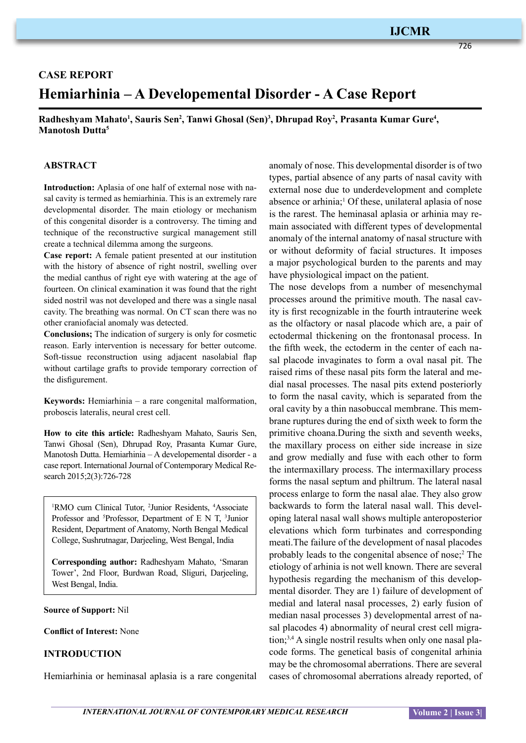# **IJCMR**

726

# **Case Report Hemiarhinia – A Developemental Disorder - A Case Report**

Radheshyam Mahato<sup>1</sup>, Sauris Sen<sup>2</sup>, Tanwi Ghosal (Sen)<sup>3</sup>, Dhrupad Roy<sup>2</sup>, Prasanta Kumar Gure<sup>4</sup>, **Manotosh Dutta5**

#### **ABSTRACT**

**Introduction:** Aplasia of one half of external nose with nasal cavity is termed as hemiarhinia. This is an extremely rare developmental disorder. The main etiology or mechanism of this congenital disorder is a controversy. The timing and technique of the reconstructive surgical management still create a technical dilemma among the surgeons.

**Case report:** A female patient presented at our institution with the history of absence of right nostril, swelling over the medial canthus of right eye with watering at the age of fourteen. On clinical examination it was found that the right sided nostril was not developed and there was a single nasal cavity. The breathing was normal. On CT scan there was no other craniofacial anomaly was detected.

**Conclusions;** The indication of surgery is only for cosmetic reason. Early intervention is necessary for better outcome. Soft-tissue reconstruction using adjacent nasolabial flap without cartilage grafts to provide temporary correction of the disfigurement.

**Keywords:** Hemiarhinia – a rare congenital malformation, proboscis lateralis, neural crest cell.

**How to cite this article:** Radheshyam Mahato, Sauris Sen, Tanwi Ghosal (Sen), Dhrupad Roy, Prasanta Kumar Gure, Manotosh Dutta. Hemiarhinia – A developemental disorder - a case report. International Journal of Contemporary Medical Research 2015;2(3):726-728

<sup>1</sup>RMO cum Clinical Tutor, <sup>2</sup>Junior Residents, <sup>4</sup>Associate Professor and <sup>5</sup>Professor, Department of E N T, <sup>3</sup>Junior Resident, Department of Anatomy, North Bengal Medical College, Sushrutnagar, Darjeeling, West Bengal, India

**Corresponding author:** Radheshyam Mahato, 'Smaran Tower', 2nd Floor, Burdwan Road, Sliguri, Darjeeling, West Bengal, India.

**Source of Support:** Nil

**Conflict of Interest:** None

#### **INTRODUCTION**

Hemiarhinia or heminasal aplasia is a rare congenital

anomaly of nose. This developmental disorder is of two types, partial absence of any parts of nasal cavity with external nose due to underdevelopment and complete absence or arhinia;<sup>1</sup> Of these, unilateral aplasia of nose is the rarest. The heminasal aplasia or arhinia may remain associated with different types of developmental anomaly of the internal anatomy of nasal structure with or without deformity of facial structures. It imposes a major psychological burden to the parents and may have physiological impact on the patient.

The nose develops from a number of mesenchymal processes around the primitive mouth. The nasal cavity is first recognizable in the fourth intrauterine week as the olfactory or nasal placode which are, a pair of ectodermal thickening on the frontonasal process. In the fifth week, the ectoderm in the center of each nasal placode invaginates to form a oval nasal pit. The raised rims of these nasal pits form the lateral and medial nasal processes. The nasal pits extend posteriorly to form the nasal cavity, which is separated from the oral cavity by a thin nasobuccal membrane. This membrane ruptures during the end of sixth week to form the primitive choana.During the sixth and seventh weeks, the maxillary process on either side increase in size and grow medially and fuse with each other to form the intermaxillary process. The intermaxillary process forms the nasal septum and philtrum. The lateral nasal process enlarge to form the nasal alae. They also grow backwards to form the lateral nasal wall. This developing lateral nasal wall shows multiple anteroposterior elevations which form turbinates and corresponding meati.The failure of the development of nasal placodes probably leads to the congenital absence of nose;<sup>2</sup> The etiology of arhinia is not well known. There are several hypothesis regarding the mechanism of this developmental disorder. They are 1) failure of development of medial and lateral nasal processes, 2) early fusion of median nasal processes 3) developmental arrest of nasal placodes 4) abnormality of neural crest cell migration;<sup>3,4</sup> A single nostril results when only one nasal placode forms. The genetical basis of congenital arhinia may be the chromosomal aberrations. There are several cases of chromosomal aberrations already reported, of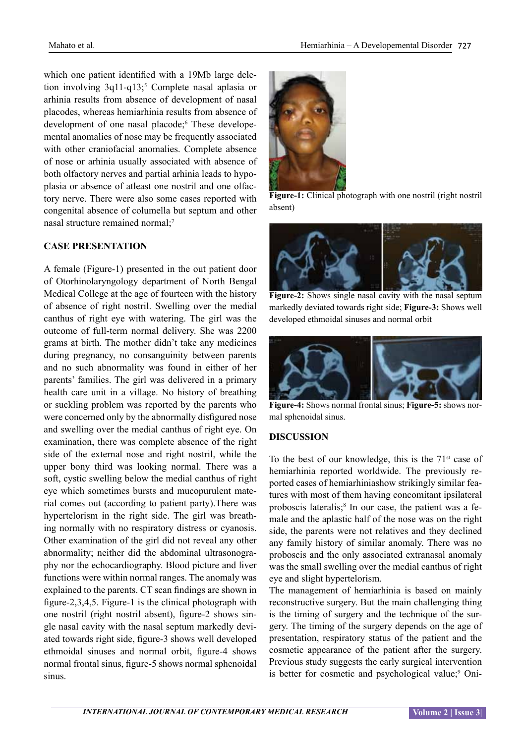which one patient identified with a 19Mb large deletion involving  $3q11-q13$ ;<sup>5</sup> Complete nasal aplasia or arhinia results from absence of development of nasal placodes, whereas hemiarhinia results from absence of development of one nasal placode;<sup>6</sup> These developemental anomalies of nose may be frequently associated with other craniofacial anomalies. Complete absence of nose or arhinia usually associated with absence of both olfactory nerves and partial arhinia leads to hypoplasia or absence of atleast one nostril and one olfactory nerve. There were also some cases reported with congenital absence of columella but septum and other nasal structure remained normal;<sup>7</sup>

## **CASE PRESENTATION**

A female (Figure-1) presented in the out patient door of Otorhinolaryngology department of North Bengal Medical College at the age of fourteen with the history of absence of right nostril. Swelling over the medial canthus of right eye with watering. The girl was the outcome of full-term normal delivery. She was 2200 grams at birth. The mother didn't take any medicines during pregnancy, no consanguinity between parents and no such abnormality was found in either of her parents' families. The girl was delivered in a primary health care unit in a village. No history of breathing or suckling problem was reported by the parents who were concerned only by the abnormally disfigured nose and swelling over the medial canthus of right eye. On examination, there was complete absence of the right side of the external nose and right nostril, while the upper bony third was looking normal. There was a soft, cystic swelling below the medial canthus of right eye which sometimes bursts and mucopurulent material comes out (according to patient party).There was hypertelorism in the right side. The girl was breathing normally with no respiratory distress or cyanosis. Other examination of the girl did not reveal any other abnormality; neither did the abdominal ultrasonography nor the echocardiography. Blood picture and liver functions were within normal ranges. The anomaly was explained to the parents. CT scan findings are shown in figure-2,3,4,5. Figure-1 is the clinical photograph with one nostril (right nostril absent), figure-2 shows single nasal cavity with the nasal septum markedly deviated towards right side, figure-3 shows well developed ethmoidal sinuses and normal orbit, figure-4 shows normal frontal sinus, figure-5 shows normal sphenoidal sinus.



**Figure-1:** Clinical photograph with one nostril (right nostril absent)



**Figure-2:** Shows single nasal cavity with the nasal septum markedly deviated towards right side; **Figure-3:** Shows well developed ethmoidal sinuses and normal orbit



**Figure-4:** Shows normal frontal sinus; **Figure-5:** shows normal sphenoidal sinus.

# **DISCUSSION**

To the best of our knowledge, this is the  $71<sup>st</sup>$  case of hemiarhinia reported worldwide. The previously reported cases of hemiarhiniashow strikingly similar features with most of them having concomitant ipsilateral proboscis lateralis;<sup>8</sup> In our case, the patient was a female and the aplastic half of the nose was on the right side, the parents were not relatives and they declined any family history of similar anomaly. There was no proboscis and the only associated extranasal anomaly was the small swelling over the medial canthus of right eye and slight hypertelorism.

The management of hemiarhinia is based on mainly reconstructive surgery. But the main challenging thing is the timing of surgery and the technique of the surgery. The timing of the surgery depends on the age of presentation, respiratory status of the patient and the cosmetic appearance of the patient after the surgery. Previous study suggests the early surgical intervention is better for cosmetic and psychological value;<sup>9</sup> Oni